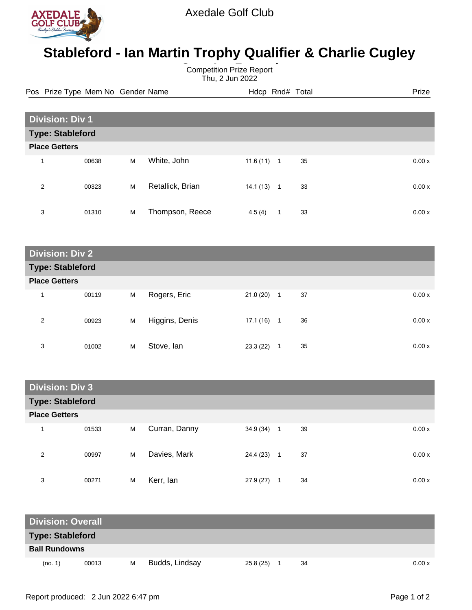

## **Stableford - Ian Martin Trophy Qualifier & Charlie Cugley**

**Competition Prize Report** Thu, 2 Jun 2022

Pos Prize Type Mem No Gender Name **Heath Hotel Hotel Rnd# Total** Prize

| <b>Division: Div 1</b>  |       |   |                  |           |                |    |  |       |  |
|-------------------------|-------|---|------------------|-----------|----------------|----|--|-------|--|
| <b>Type: Stableford</b> |       |   |                  |           |                |    |  |       |  |
| <b>Place Getters</b>    |       |   |                  |           |                |    |  |       |  |
|                         | 00638 | M | White, John      | 11.6(11)  | $\overline{1}$ | 35 |  | 0.00x |  |
| 2                       | 00323 | M | Retallick, Brian | 14.1 (13) | $\mathbf 1$    | 33 |  | 0.00x |  |
| 3                       | 01310 | M | Thompson, Reece  | 4.5(4)    | 1              | 33 |  | 0.00x |  |

| <b>Division: Div 2</b>  |       |   |                |           |                    |       |  |  |
|-------------------------|-------|---|----------------|-----------|--------------------|-------|--|--|
| <b>Type: Stableford</b> |       |   |                |           |                    |       |  |  |
| <b>Place Getters</b>    |       |   |                |           |                    |       |  |  |
| 1                       | 00119 | M | Rogers, Eric   | 21.0(20)  | 37<br>1            | 0.00x |  |  |
| 2                       | 00923 | M | Higgins, Denis | 17.1 (16) | 36<br>$\mathbf{1}$ | 0.00x |  |  |
| 3                       | 01002 | M | Stove, Ian     | 23.3(22)  | 35<br>1            | 0.00x |  |  |

| <b>Division: Div 3</b>  |       |   |               |           |                |    |  |       |  |
|-------------------------|-------|---|---------------|-----------|----------------|----|--|-------|--|
| <b>Type: Stableford</b> |       |   |               |           |                |    |  |       |  |
| <b>Place Getters</b>    |       |   |               |           |                |    |  |       |  |
| 1                       | 01533 | M | Curran, Danny | 34.9 (34) | $\overline{1}$ | 39 |  | 0.00x |  |
| 2                       | 00997 | M | Davies, Mark  | 24.4 (23) | $\overline{1}$ | 37 |  | 0.00x |  |
| 3                       | 00271 | M | Kerr, lan     | 27.9(27)  |                | 34 |  | 0.00x |  |

| <b>Division: Overall</b> |       |   |                |           |  |    |  |        |
|--------------------------|-------|---|----------------|-----------|--|----|--|--------|
| <b>Type: Stableford</b>  |       |   |                |           |  |    |  |        |
| <b>Ball Rundowns</b>     |       |   |                |           |  |    |  |        |
| (no. 1)                  | 00013 | м | Budds, Lindsay | 25.8 (25) |  | 34 |  | 0.00 x |